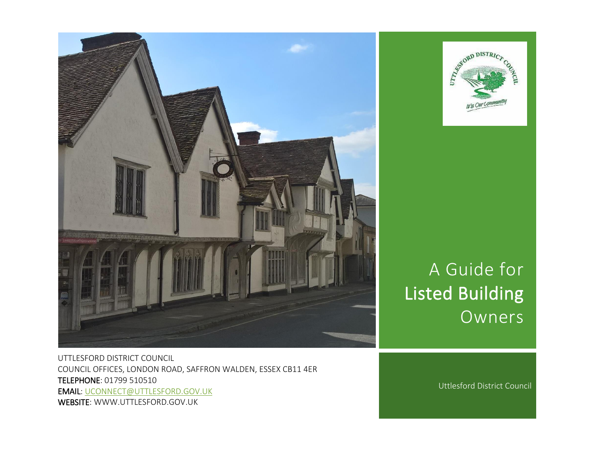



# A Guide for Listed Building Owners

UTTLESFORD DISTRICT COUNCIL COUNCIL OFFICES, LONDON ROAD, SAFFRON WALDEN, ESSEX CB11 4ER TELEPHONE: 01799 510510 EMAIL: [UCONNECT@UTTLESFORD.GOV.UK](mailto:uconnect@uttlesford.gov.uk) WEBSITE: WWW.UTTLESFORD.GOV.UK

Uttlesford District Council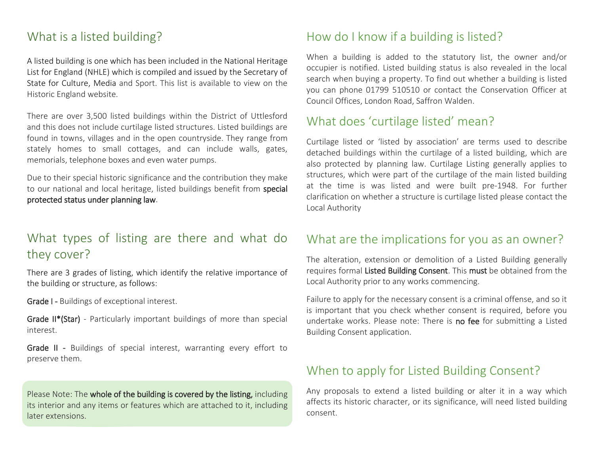# What is a listed building?

A listed building is one which has been included in the National Heritage List for England (NHLE) which is compiled and issued by the Secretary of State for Culture, Media and Sport. This list is available to view on the Historic England website.

There are over 3,500 listed buildings within the District of Uttlesford and this does not include curtilage listed structures. Listed buildings are found in towns, villages and in the open countryside. They range from stately homes to small cottages, and can include walls, gates, memorials, telephone boxes and even water pumps.

Due to their special historic significance and the contribution they make to our national and local heritage, listed buildings benefit from special protected status under planning law.

# What types of listing are there and what do they cover?

There are 3 grades of listing, which identify the relative importance of the building or structure, as follows:

Grade I - Buildings of exceptional interest.

Grade II\*(Star) - Particularly important buildings of more than special interest.

Grade II - Buildings of special interest, warranting every effort to preserve them.

Please Note: The whole of the building is covered by the listing, including its interior and any items or features which are attached to it, including later extensions.

# How do I know if a building is listed?

When a building is added to the statutory list, the owner and/or occupier is notified. Listed building status is also revealed in the local search when buying a property. To find out whether a building is listed you can phone 01799 510510 or contact the Conservation Officer at Council Offices, London Road, Saffron Walden.

# What does 'curtilage listed' mean?

Curtilage listed or 'listed by association' are terms used to describe detached buildings within the curtilage of a listed building, which are also protected by planning law. Curtilage Listing generally applies to structures, which were part of the curtilage of the main listed building at the time is was listed and were built pre-1948. For further clarification on whether a structure is curtilage listed please contact the Local Authority

# What are the implications for you as an owner?

The alteration, extension or demolition of a Listed Building generally requires formal Listed Building Consent. This must be obtained from the Local Authority prior to any works commencing.

Failure to apply for the necessary consent is a criminal offense, and so it is important that you check whether consent is required, before you undertake works. Please note: There is no fee for submitting a Listed Building Consent application.

# When to apply for Listed Building Consent?

Any proposals to extend a listed building or alter it in a way which affects its historic character, or its significance, will need listed building consent.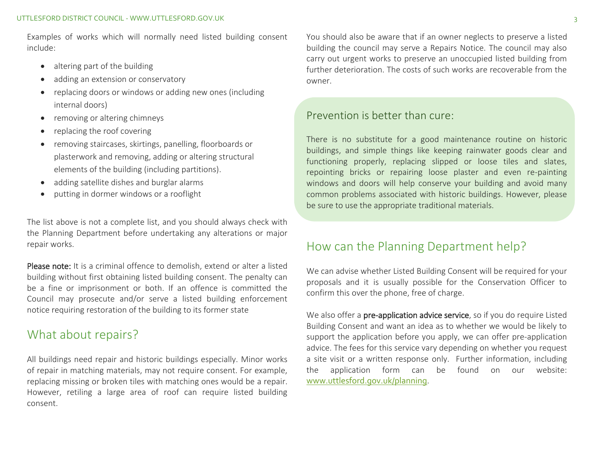Examples of works which will normally need listed building consent include:

- altering part of the building
- adding an extension or conservatory
- replacing doors or windows or adding new ones (including internal doors)
- removing or altering chimneys
- replacing the roof covering
- removing staircases, skirtings, panelling, floorboards or plasterwork and removing, adding or altering structural elements of the building (including partitions).
- adding satellite dishes and burglar alarms
- putting in dormer windows or a rooflight

The list above is not a complete list, and you should always check with the Planning Department before undertaking any alterations or major repair works.

Please note: It is a criminal offence to demolish, extend or alter a listed building without first obtaining listed building consent. The penalty can be a fine or imprisonment or both. If an offence is committed the Council may prosecute and/or serve a listed building enforcement notice requiring restoration of the building to its former state

# What about repairs?

All buildings need repair and historic buildings especially. Minor works of repair in matching materials, may not require consent. For example, replacing missing or broken tiles with matching ones would be a repair. However, retiling a large area of roof can require listed building consent.

You should also be aware that if an owner neglects to preserve a listed building the council may serve a Repairs Notice. The council may also carry out urgent works to preserve an unoccupied listed building from further deterioration. The costs of such works are recoverable from the owner.

#### Prevention is better than cure:

There is no substitute for a good maintenance routine on historic buildings, and simple things like keeping rainwater goods clear and functioning properly, replacing slipped or loose tiles and slates, repointing bricks or repairing loose plaster and even re-painting windows and doors will help conserve your building and avoid many common problems associated with historic buildings. However, please be sure to use the appropriate traditional materials.

# How can the Planning Department help?

We can advise whether Listed Building Consent will be required for your proposals and it is usually possible for the Conservation Officer to confirm this over the phone, free of charge.

We also offer a pre-application advice service, so if you do require Listed Building Consent and want an idea as to whether we would be likely to support the application before you apply, we can offer pre-application advice. The fees for this service vary depending on whether you request a site visit or a written response only. Further information, including the application form can be found on our website: www.uttlesford.gov.uk/planning.